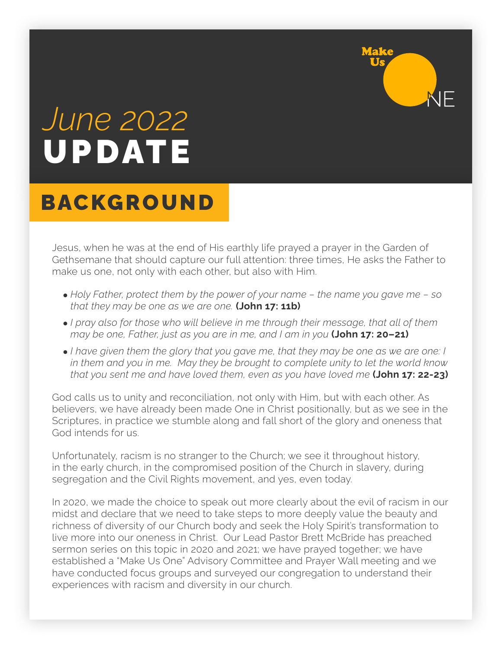

## *June 2022* UPDATE

## BACKGROUND

Jesus, when he was at the end of His earthly life prayed a prayer in the Garden of Gethsemane that should capture our full attention: three times, He asks the Father to make us one, not only with each other, but also with Him.

- *Holy Father, protect them by the power of your name the name you gave me so that they may be one as we are one.* **(John 17: 11b)**
- *I pray also for those who will believe in me through their message, that all of them may be one, Father, just as you are in me, and I am in you* **(John 17: 20–21)**
- *I have given them the glory that you gave me, that they may be one as we are one: I in them and you in me. May they be brought to complete unity to let the world know that you sent me and have loved them, even as you have loved me* **(John 17: 22-23)**

God calls us to unity and reconciliation, not only with Him, but with each other. As believers, we have already been made One in Christ positionally, but as we see in the Scriptures, in practice we stumble along and fall short of the glory and oneness that God intends for us.

Unfortunately, racism is no stranger to the Church; we see it throughout history, in the early church, in the compromised position of the Church in slavery, during segregation and the Civil Rights movement, and yes, even today.

In 2020, we made the choice to speak out more clearly about the evil of racism in our midst and declare that we need to take steps to more deeply value the beauty and richness of diversity of our Church body and seek the Holy Spirit's transformation to live more into our oneness in Christ. Our Lead Pastor Brett McBride has preached sermon series on this topic in 2020 and 2021; we have prayed together; we have established a "Make Us One" Advisory Committee and Prayer Wall meeting and we have conducted focus groups and surveyed our congregation to understand their experiences with racism and diversity in our church.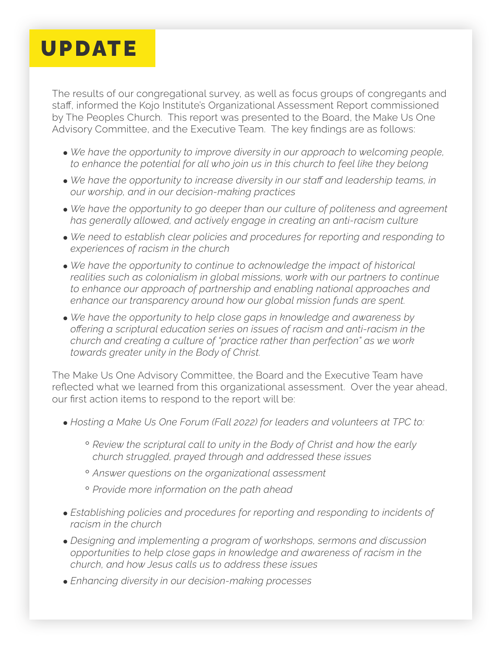## UPDATE

The results of our congregational survey, as well as focus groups of congregants and staff, informed the Kojo Institute's Organizational Assessment Report commissioned by The Peoples Church. This report was presented to the Board, the Make Us One Advisory Committee, and the Executive Team. The key findings are as follows:

- *We have the opportunity to improve diversity in our approach to welcoming people, to enhance the potential for all who join us in this church to feel like they belong*
- *We have the opportunity to increase diversity in our staff and leadership teams, in our worship, and in our decision-making practices*
- *We have the opportunity to go deeper than our culture of politeness and agreement has generally allowed, and actively engage in creating an anti-racism culture*
- *We need to establish clear policies and procedures for reporting and responding to experiences of racism in the church*
- *We have the opportunity to continue to acknowledge the impact of historical realities such as colonialism in global missions, work with our partners to continue to enhance our approach of partnership and enabling national approaches and enhance our transparency around how our global mission funds are spent.*
- *We have the opportunity to help close gaps in knowledge and awareness by offering a scriptural education series on issues of racism and anti-racism in the church and creating a culture of "practice rather than perfection" as we work towards greater unity in the Body of Christ.*

The Make Us One Advisory Committee, the Board and the Executive Team have reflected what we learned from this organizational assessment. Over the year ahead, our first action items to respond to the report will be:

- *Hosting a Make Us One Forum (Fall 2022) for leaders and volunteers at TPC to:* 
	- ° *Review the scriptural call to unity in the Body of Christ and how the early church struggled, prayed through and addressed these issues*
	- ° *Answer questions on the organizational assessment*
	- ° *Provide more information on the path ahead*
- *Establishing policies and procedures for reporting and responding to incidents of racism in the church*
- *Designing and implementing a program of workshops, sermons and discussion opportunities to help close gaps in knowledge and awareness of racism in the church, and how Jesus calls us to address these issues*
- *Enhancing diversity in our decision-making processes*